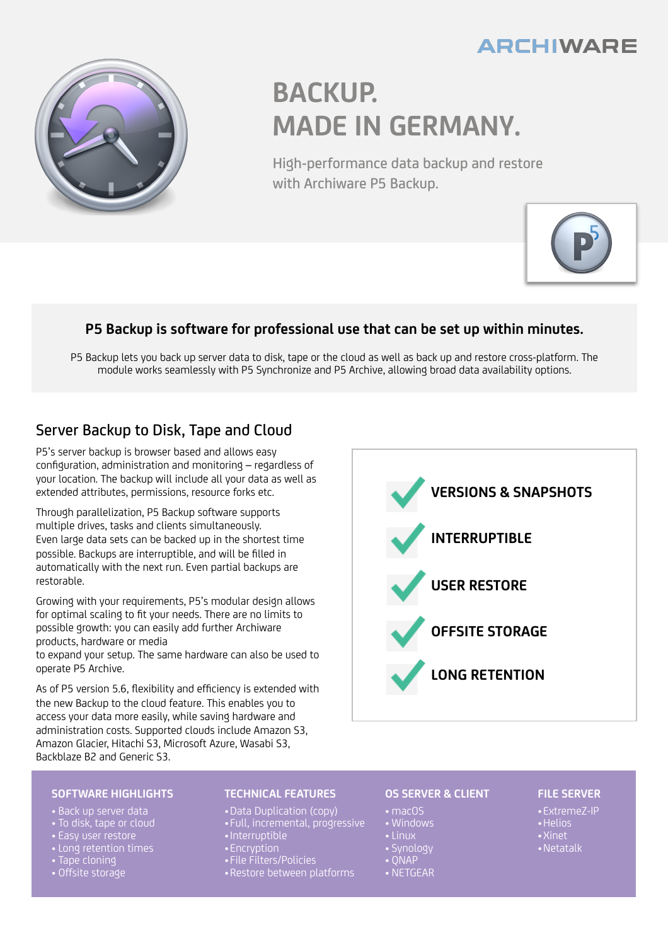## **ARCHIWARE**



# **BACKUP. MADE IN GERMANY.**

High-performance data backup and restore with Archiware P5 Backup.



### **P5 Backup is software for professional use that can be set up within minutes.**

P5 Backup lets you back up server data to disk, tape or the cloud as well as back up and restore cross-platform. The module works seamlessly with P5 Synchronize and P5 Archive, allowing broad data availability options.

## Server Backup to Disk, Tape and Cloud

P5's server backup is browser based and allows easy configuration, administration and monitoring – regardless of your location. The backup will include all your data as well as extended attributes, permissions, resource forks etc.

Through parallelization, P5 Backup software supports multiple drives, tasks and clients simultaneously. Even large data sets can be backed up in the shortest time possible. Backups are interruptible, and will be filled in automatically with the next run. Even partial backups are restorable.

Growing with your requirements, P5's modular design allows for optimal scaling to fit your needs. There are no limits to possible growth: you can easily add further Archiware products, hardware or media

to expand your setup. The same hardware can also be used to operate P5 Archive.

As of P5 version 5.6, flexibility and efficiency is extended with the new Backup to the cloud feature. This enables you to access your data more easily, while saving hardware and administration costs. Supported clouds include Amazon S3, Amazon Glacier, Hitachi S3, Microsoft Azure, Wasabi S3, Backblaze B2 and Generic S3.



#### **SOFTWARE HIGHLIGHTS**

- Back up server data
- To disk, tape or cloud
- Easy user restore
- Long retention times
- Tape cloning
- Offsite storage

#### **TECHNICAL FEATURES**

- •Data Duplication (copy)
- Full, incremental, progressive
- •Interruptible
- •Encryption
- File Filters/Policies
- •Restore between platforms

#### **OS SERVER & CLIENT**

- macOS
- Windows
- Linux
- Synology
- $\cdot$  ONAP
- NETGEAR

#### **FILE SERVER**

- •ExtremeZ-IP
- •Helios
- •Xinet
- •Netatalk